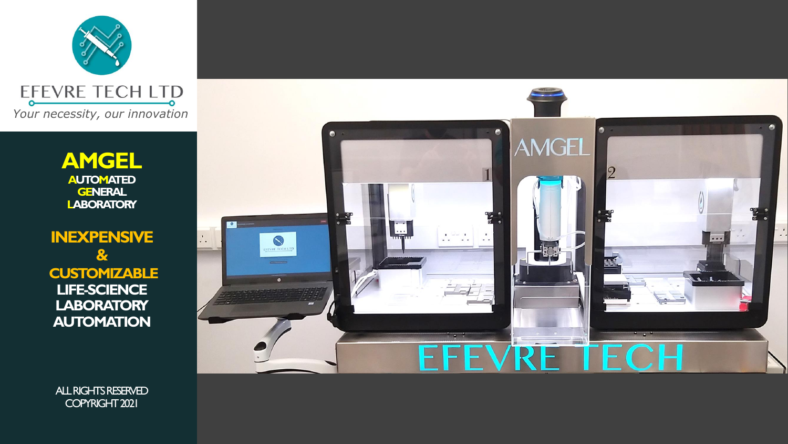

**AMGEL AUTOMATED GENERAL LABORATORY**

**INEXPENSIVE & CUSTOMIZABLE LIFE-SCIENCE LABORATORY AUTOMATION** 



ALL RIGHTS RESERVED COPYRIGHT 2021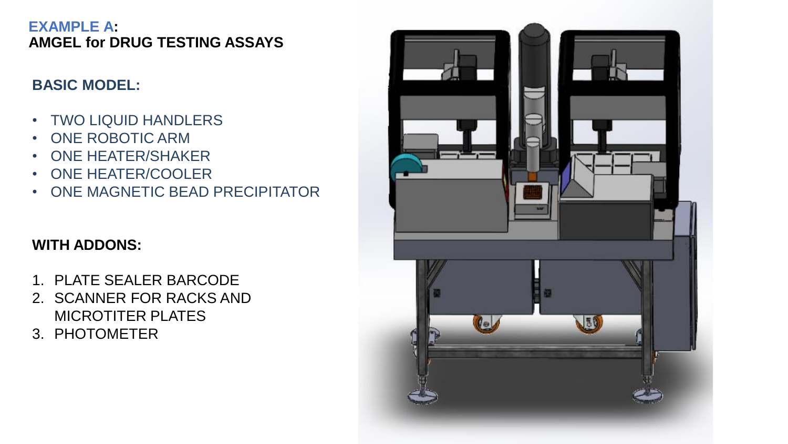#### **EXAMPLE A: AMGEL for DRUG TESTING ASSAYS**

### **BASIC MODEL:**

- TWO LIQUID HANDLERS
- ONE ROBOTIC ARM
- ONE HEATER/SHAKER
- ONE HEATER/COOLER
- ONE MAGNETIC BEAD PRECIPITATOR

- 1. PLATE SEALER BARCODE
- 2. SCANNER FOR RACKS AND MICROTITER PLATES
- 3. PHOTOMETER

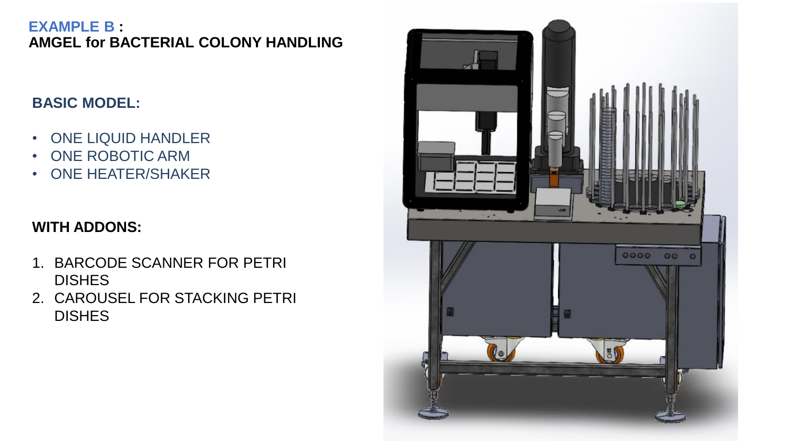#### **EXAMPLE B : AMGEL for BACTERIAL COLONY HANDLING**

### **BASIC MODEL:**

- ONE LIQUID HANDLER
- ONE ROBOTIC ARM
- ONE HEATER/SHAKER

- 1. BARCODE SCANNER FOR PETRI **DISHES**
- 2. CAROUSEL FOR STACKING PETRI DISHES

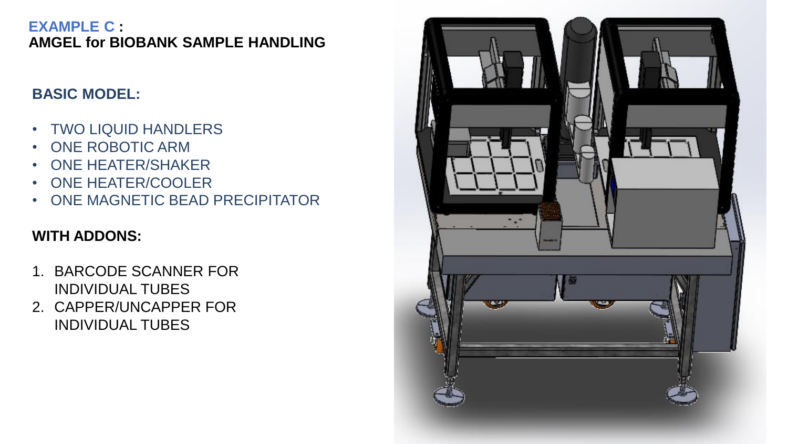#### **EXAMPLE C : AMGEL for BIOBANK SAMPLE HANDLING**

### **BASIC MODEL:**

- TWO LIQUID HANDLERS
- ONE ROBOTIC ARM
- ONE HEATER/SHAKER
- ONE HEATER/COOLER
- ONE MAGNETIC BEAD PRECIPITATOR

- 1. BARCODE SCANNER FOR INDIVIDUAL TUBES
- 2. CAPPER/UNCAPPER FOR INDIVIDUAL TUBES

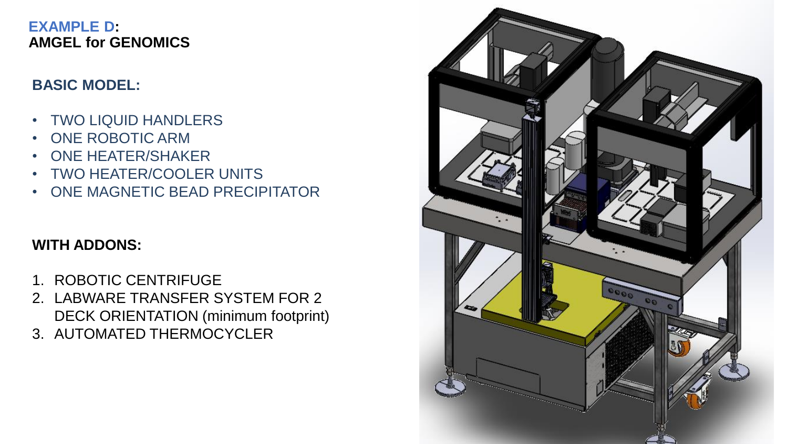#### **EXAMPLE D: AMGEL for GENOMICS**

### **BASIC MODEL:**

- TWO LIQUID HANDLERS
- ONE ROBOTIC ARM
- ONE HEATER/SHAKER
- TWO HEATER/COOLER UNITS
- ONE MAGNETIC BEAD PRECIPITATOR

- 1. ROBOTIC CENTRIFUGE
- 2. LABWARE TRANSFER SYSTEM FOR 2 DECK ORIENTATION (minimum footprint)
- 3. AUTOMATED THERMOCYCLER